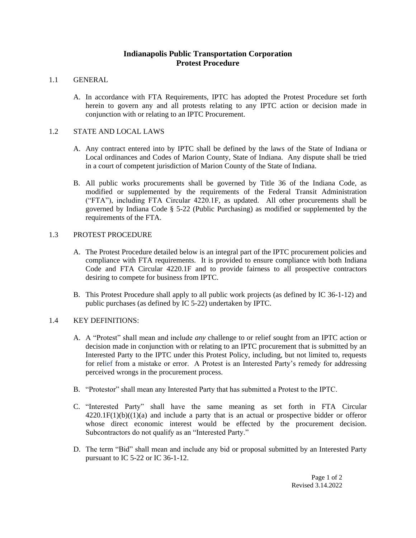# **Indianapolis Public Transportation Corporation Protest Procedure**

## 1.1 GENERAL

A. In accordance with FTA Requirements, IPTC has adopted the Protest Procedure set forth herein to govern any and all protests relating to any IPTC action or decision made in conjunction with or relating to an IPTC Procurement.

### 1.2 STATE AND LOCAL LAWS

- A. Any contract entered into by IPTC shall be defined by the laws of the State of Indiana or Local ordinances and Codes of Marion County, State of Indiana. Any dispute shall be tried in a court of competent jurisdiction of Marion County of the State of Indiana.
- B. All public works procurements shall be governed by Title 36 of the Indiana Code, as modified or supplemented by the requirements of the Federal Transit Administration ("FTA"), including FTA Circular 4220.1F, as updated. All other procurements shall be governed by Indiana Code § 5-22 (Public Purchasing) as modified or supplemented by the requirements of the FTA.

### 1.3 PROTEST PROCEDURE

- A. The Protest Procedure detailed below is an integral part of the IPTC procurement policies and compliance with FTA requirements. It is provided to ensure compliance with both Indiana Code and FTA Circular 4220.1F and to provide fairness to all prospective contractors desiring to compete for business from IPTC.
- B. This Protest Procedure shall apply to all public work projects (as defined by IC 36-1-12) and public purchases (as defined by IC 5-22) undertaken by IPTC.

## 1.4 KEY DEFINITIONS:

- A. A "Protest" shall mean and include *any* challenge to or relief sought from an IPTC action or decision made in conjunction with or relating to an IPTC procurement that is submitted by an Interested Party to the IPTC under this Protest Policy, including, but not limited to, requests for relief from a mistake or error. A Protest is an Interested Party's remedy for addressing perceived wrongs in the procurement process.
- B. "Protestor" shall mean any Interested Party that has submitted a Protest to the IPTC.
- C. "Interested Party" shall have the same meaning as set forth in FTA Circular  $4220.1F(1)(b)((1)(a)$  and include a party that is an actual or prospective bidder or offeror whose direct economic interest would be effected by the procurement decision. Subcontractors do not qualify as an "Interested Party."
- D. The term "Bid" shall mean and include any bid or proposal submitted by an Interested Party pursuant to IC 5-22 or IC 36-1-12.